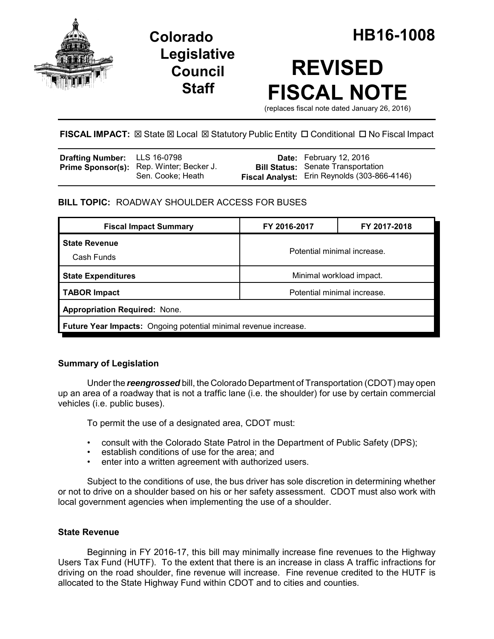

**Legislative Council Staff**

# **REVISED FISCAL NOTE**

(replaces fiscal note dated January 26, 2016)

# **FISCAL IMPACT:**  $\boxtimes$  State  $\boxtimes$  Local  $\boxtimes$  Statutory Public Entity  $\Box$  Conditional  $\Box$  No Fiscal Impact

| <b>Drafting Number:</b> LLS 16-0798 |                                                               | <b>Date:</b> February 12, 2016                                                                   |
|-------------------------------------|---------------------------------------------------------------|--------------------------------------------------------------------------------------------------|
|                                     | Prime Sponsor(s): Rep. Winter; Becker J.<br>Sen. Cooke; Heath | <b>Bill Status:</b> Senate Transportation<br><b>Fiscal Analyst:</b> Erin Reynolds (303-866-4146) |

# **BILL TOPIC:** ROADWAY SHOULDER ACCESS FOR BUSES

| <b>Fiscal Impact Summary</b>                                            | FY 2016-2017                | FY 2017-2018 |  |  |  |
|-------------------------------------------------------------------------|-----------------------------|--------------|--|--|--|
| <b>State Revenue</b><br>Cash Funds                                      | Potential minimal increase. |              |  |  |  |
| <b>State Expenditures</b>                                               | Minimal workload impact.    |              |  |  |  |
| <b>TABOR Impact</b>                                                     | Potential minimal increase. |              |  |  |  |
| <b>Appropriation Required: None.</b>                                    |                             |              |  |  |  |
| <b>Future Year Impacts:</b> Ongoing potential minimal revenue increase. |                             |              |  |  |  |

# **Summary of Legislation**

Under the *reengrossed* bill, the Colorado Department of Transportation (CDOT) may open up an area of a roadway that is not a traffic lane (i.e. the shoulder) for use by certain commercial vehicles (i.e. public buses).

To permit the use of a designated area, CDOT must:

- consult with the Colorado State Patrol in the Department of Public Safety (DPS);
- establish conditions of use for the area; and
- enter into a written agreement with authorized users.

Subject to the conditions of use, the bus driver has sole discretion in determining whether or not to drive on a shoulder based on his or her safety assessment. CDOT must also work with local government agencies when implementing the use of a shoulder.

# **State Revenue**

Beginning in FY 2016-17, this bill may minimally increase fine revenues to the Highway Users Tax Fund (HUTF). To the extent that there is an increase in class A traffic infractions for driving on the road shoulder, fine revenue will increase. Fine revenue credited to the HUTF is allocated to the State Highway Fund within CDOT and to cities and counties.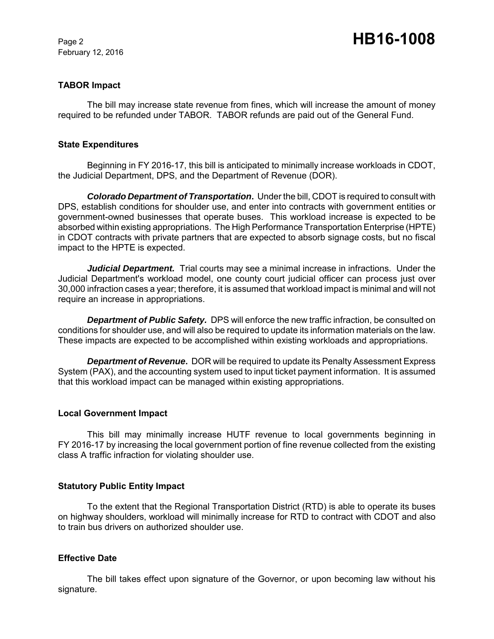February 12, 2016

#### **TABOR Impact**

The bill may increase state revenue from fines, which will increase the amount of money required to be refunded under TABOR. TABOR refunds are paid out of the General Fund.

#### **State Expenditures**

Beginning in FY 2016-17, this bill is anticipated to minimally increase workloads in CDOT, the Judicial Department, DPS, and the Department of Revenue (DOR).

*Colorado Department of Transportation***.** Under the bill, CDOT is required to consult with DPS, establish conditions for shoulder use, and enter into contracts with government entities or government-owned businesses that operate buses. This workload increase is expected to be absorbed within existing appropriations. The High Performance Transportation Enterprise (HPTE) in CDOT contracts with private partners that are expected to absorb signage costs, but no fiscal impact to the HPTE is expected.

*Judicial Department.* Trial courts may see a minimal increase in infractions. Under the Judicial Department's workload model, one county court judicial officer can process just over 30,000 infraction cases a year; therefore, it is assumed that workload impact is minimal and will not require an increase in appropriations.

*Department of Public Safety.* DPS will enforce the new traffic infraction, be consulted on conditions for shoulder use, and will also be required to update its information materials on the law. These impacts are expected to be accomplished within existing workloads and appropriations.

*Department of Revenue***.** DOR will be required to update its Penalty Assessment Express System (PAX), and the accounting system used to input ticket payment information. It is assumed that this workload impact can be managed within existing appropriations.

#### **Local Government Impact**

This bill may minimally increase HUTF revenue to local governments beginning in FY 2016-17 by increasing the local government portion of fine revenue collected from the existing class A traffic infraction for violating shoulder use.

#### **Statutory Public Entity Impact**

To the extent that the Regional Transportation District (RTD) is able to operate its buses on highway shoulders, workload will minimally increase for RTD to contract with CDOT and also to train bus drivers on authorized shoulder use.

# **Effective Date**

The bill takes effect upon signature of the Governor, or upon becoming law without his signature.